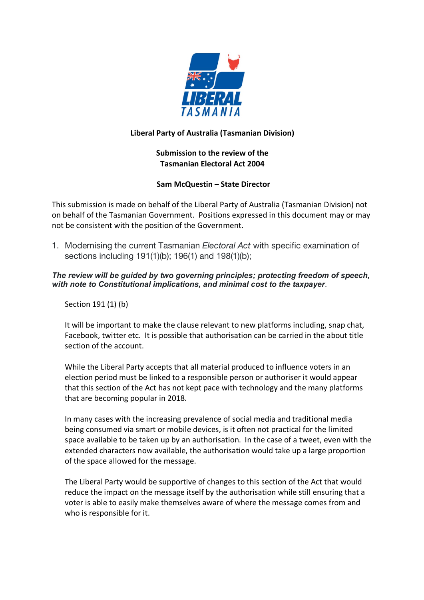

# **Liberal Party of Australia (Tasmanian Division)**

# **Submission to the review of the Tasmanian Electoral Act 2004**

## **Sam McQuestin – State Director**

This submission is made on behalf of the Liberal Party of Australia (Tasmanian Division) not on behalf of the Tasmanian Government. Positions expressed in this document may or may not be consistent with the position of the Government.

1. Modernising the current Tasmanian *Electoral Act* with specific examination of sections including 191(1)(b); 196(1) and 198(1)(b);

*The review will be guided by two governing principles; protecting freedom of speech, with note to Constitutional implications, and minimal cost to the taxpayer*.

Section 191 (1) (b)

It will be important to make the clause relevant to new platforms including, snap chat, Facebook, twitter etc. It is possible that authorisation can be carried in the about title section of the account.

While the Liberal Party accepts that all material produced to influence voters in an election period must be linked to a responsible person or authoriser it would appear that this section of the Act has not kept pace with technology and the many platforms that are becoming popular in 2018.

In many cases with the increasing prevalence of social media and traditional media being consumed via smart or mobile devices, is it often not practical for the limited space available to be taken up by an authorisation. In the case of a tweet, even with the extended characters now available, the authorisation would take up a large proportion of the space allowed for the message.

The Liberal Party would be supportive of changes to this section of the Act that would reduce the impact on the message itself by the authorisation while still ensuring that a voter is able to easily make themselves aware of where the message comes from and who is responsible for it.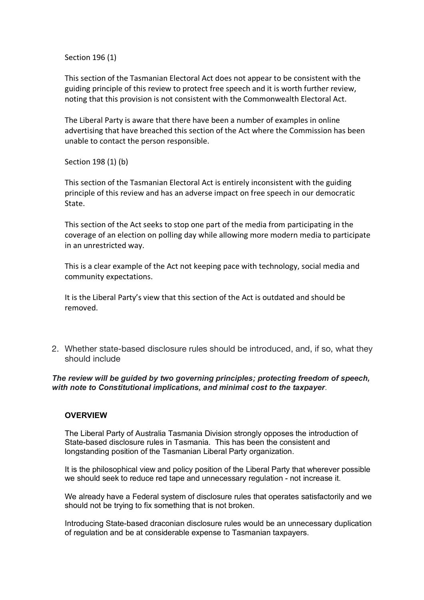Section 196 (1)

This section of the Tasmanian Electoral Act does not appear to be consistent with the guiding principle of this review to protect free speech and it is worth further review, noting that this provision is not consistent with the Commonwealth Electoral Act.

The Liberal Party is aware that there have been a number of examples in online advertising that have breached this section of the Act where the Commission has been unable to contact the person responsible.

Section 198 (1) (b)

This section of the Tasmanian Electoral Act is entirely inconsistent with the guiding principle of this review and has an adverse impact on free speech in our democratic State.

This section of the Act seeks to stop one part of the media from participating in the coverage of an election on polling day while allowing more modern media to participate in an unrestricted way.

This is a clear example of the Act not keeping pace with technology, social media and community expectations.

It is the Liberal Party's view that this section of the Act is outdated and should be removed.

2. Whether state-based disclosure rules should be introduced, and, if so, what they should include

*The review will be guided by two governing principles; protecting freedom of speech, with note to Constitutional implications, and minimal cost to the taxpayer*.

## **OVERVIEW**

The Liberal Party of Australia Tasmania Division strongly opposes the introduction of State-based disclosure rules in Tasmania. This has been the consistent and longstanding position of the Tasmanian Liberal Party organization.

It is the philosophical view and policy position of the Liberal Party that wherever possible we should seek to reduce red tape and unnecessary regulation - not increase it.

We already have a Federal system of disclosure rules that operates satisfactorily and we should not be trying to fix something that is not broken.

Introducing State-based draconian disclosure rules would be an unnecessary duplication of regulation and be at considerable expense to Tasmanian taxpayers.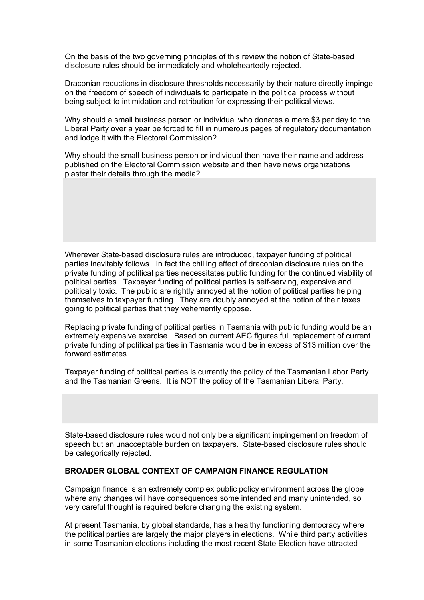On the basis of the two governing principles of this review the notion of State-based disclosure rules should be immediately and wholeheartedly rejected.

Draconian reductions in disclosure thresholds necessarily by their nature directly impinge on the freedom of speech of individuals to participate in the political process without being subject to intimidation and retribution for expressing their political views.

Why should a small business person or individual who donates a mere \$3 per day to the Liberal Party over a year be forced to fill in numerous pages of regulatory documentation and lodge it with the Electoral Commission?

Why should the small business person or individual then have their name and address published on the Electoral Commission website and then have news organizations plaster their details through the media?

Wherever State-based disclosure rules are introduced, taxpayer funding of political parties inevitably follows. In fact the chilling effect of draconian disclosure rules on the private funding of political parties necessitates public funding for the continued viability of political parties. Taxpayer funding of political parties is self-serving, expensive and politically toxic. The public are rightly annoyed at the notion of political parties helping themselves to taxpayer funding. They are doubly annoyed at the notion of their taxes going to political parties that they vehemently oppose.

Replacing private funding of political parties in Tasmania with public funding would be an extremely expensive exercise. Based on current AEC figures full replacement of current private funding of political parties in Tasmania would be in excess of \$13 million over the forward estimates.

Taxpayer funding of political parties is currently the policy of the Tasmanian Labor Party and the Tasmanian Greens. It is NOT the policy of the Tasmanian Liberal Party.

State-based disclosure rules would not only be a significant impingement on freedom of speech but an unacceptable burden on taxpayers. State-based disclosure rules should be categorically rejected.

#### **BROADER GLOBAL CONTEXT OF CAMPAIGN FINANCE REGULATION**

Campaign finance is an extremely complex public policy environment across the globe where any changes will have consequences some intended and many unintended, so very careful thought is required before changing the existing system.

At present Tasmania, by global standards, has a healthy functioning democracy where the political parties are largely the major players in elections. While third party activities in some Tasmanian elections including the most recent State Election have attracted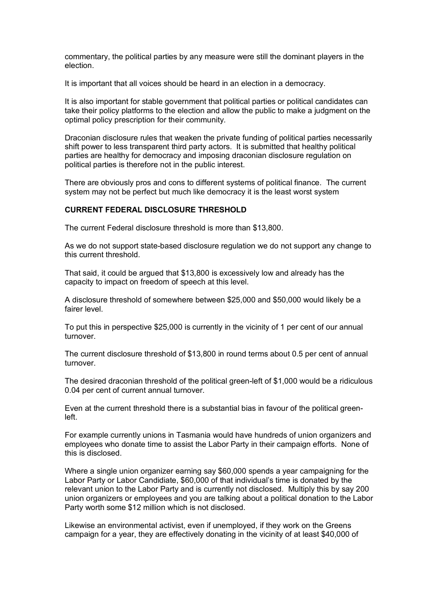commentary, the political parties by any measure were still the dominant players in the election.

It is important that all voices should be heard in an election in a democracy.

It is also important for stable government that political parties or political candidates can take their policy platforms to the election and allow the public to make a judgment on the optimal policy prescription for their community.

Draconian disclosure rules that weaken the private funding of political parties necessarily shift power to less transparent third party actors. It is submitted that healthy political parties are healthy for democracy and imposing draconian disclosure regulation on political parties is therefore not in the public interest.

There are obviously pros and cons to different systems of political finance. The current system may not be perfect but much like democracy it is the least worst system

#### **CURRENT FEDERAL DISCLOSURE THRESHOLD**

The current Federal disclosure threshold is more than \$13,800.

As we do not support state-based disclosure regulation we do not support any change to this current threshold.

That said, it could be argued that \$13,800 is excessively low and already has the capacity to impact on freedom of speech at this level.

A disclosure threshold of somewhere between \$25,000 and \$50,000 would likely be a fairer level.

To put this in perspective \$25,000 is currently in the vicinity of 1 per cent of our annual turnover.

The current disclosure threshold of \$13,800 in round terms about 0.5 per cent of annual turnover.

The desired draconian threshold of the political green-left of \$1,000 would be a ridiculous 0.04 per cent of current annual turnover.

Even at the current threshold there is a substantial bias in favour of the political greenleft.

For example currently unions in Tasmania would have hundreds of union organizers and employees who donate time to assist the Labor Party in their campaign efforts. None of this is disclosed.

Where a single union organizer earning say \$60,000 spends a year campaigning for the Labor Party or Labor Candidiate, \$60,000 of that individual's time is donated by the relevant union to the Labor Party and is currently not disclosed. Multiply this by say 200 union organizers or employees and you are talking about a political donation to the Labor Party worth some \$12 million which is not disclosed.

Likewise an environmental activist, even if unemployed, if they work on the Greens campaign for a year, they are effectively donating in the vicinity of at least \$40,000 of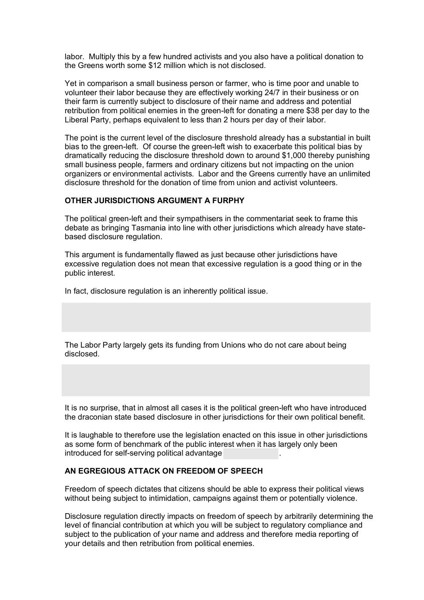labor. Multiply this by a few hundred activists and you also have a political donation to the Greens worth some \$12 million which is not disclosed.

Yet in comparison a small business person or farmer, who is time poor and unable to volunteer their labor because they are effectively working 24/7 in their business or on their farm is currently subject to disclosure of their name and address and potential retribution from political enemies in the green-left for donating a mere \$38 per day to the Liberal Party, perhaps equivalent to less than 2 hours per day of their labor.

The point is the current level of the disclosure threshold already has a substantial in built bias to the green-left. Of course the green-left wish to exacerbate this political bias by dramatically reducing the disclosure threshold down to around \$1,000 thereby punishing small business people, farmers and ordinary citizens but not impacting on the union organizers or environmental activists. Labor and the Greens currently have an unlimited disclosure threshold for the donation of time from union and activist volunteers.

## **OTHER JURISDICTIONS ARGUMENT A FURPHY**

The political green-left and their sympathisers in the commentariat seek to frame this debate as bringing Tasmania into line with other jurisdictions which already have statebased disclosure regulation.

This argument is fundamentally flawed as just because other jurisdictions have excessive regulation does not mean that excessive regulation is a good thing or in the public interest.

In fact, disclosure regulation is an inherently political issue.

The Labor Party largely gets its funding from Unions who do not care about being disclosed.

It is no surprise, that in almost all cases it is the political green-left who have introduced the draconian state based disclosure in other jurisdictions for their own political benefit.

It is laughable to therefore use the legislation enacted on this issue in other jurisdictions as some form of benchmark of the public interest when it has largely only been introduced for self-serving political advantage .

#### **AN EGREGIOUS ATTACK ON FREEDOM OF SPEECH**

Freedom of speech dictates that citizens should be able to express their political views without being subject to intimidation, campaigns against them or potentially violence.

Disclosure regulation directly impacts on freedom of speech by arbitrarily determining the level of financial contribution at which you will be subject to regulatory compliance and subject to the publication of your name and address and therefore media reporting of your details and then retribution from political enemies.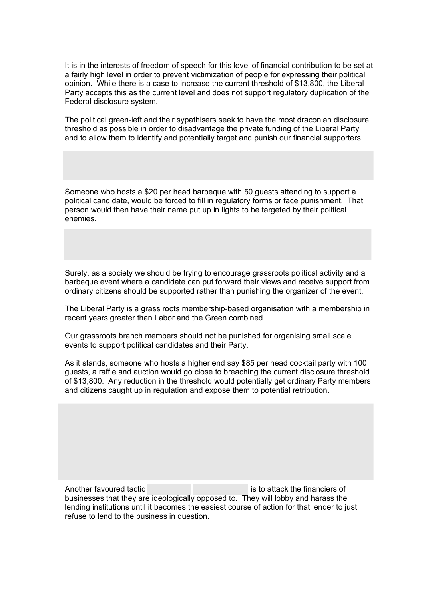It is in the interests of freedom of speech for this level of financial contribution to be set at a fairly high level in order to prevent victimization of people for expressing their political opinion. While there is a case to increase the current threshold of \$13,800, the Liberal Party accepts this as the current level and does not support regulatory duplication of the Federal disclosure system.

The political green-left and their sypathisers seek to have the most draconian disclosure threshold as possible in order to disadvantage the private funding of the Liberal Party and to allow them to identify and potentially target and punish our financial supporters.

Someone who hosts a \$20 per head barbeque with 50 guests attending to support a political candidate, would be forced to fill in regulatory forms or face punishment. That person would then have their name put up in lights to be targeted by their political enemies.

Surely, as a society we should be trying to encourage grassroots political activity and a barbeque event where a candidate can put forward their views and receive support from ordinary citizens should be supported rather than punishing the organizer of the event.

The Liberal Party is a grass roots membership-based organisation with a membership in recent years greater than Labor and the Green combined.

Our grassroots branch members should not be punished for organising small scale events to support political candidates and their Party.

As it stands, someone who hosts a higher end say \$85 per head cocktail party with 100 guests, a raffle and auction would go close to breaching the current disclosure threshold of \$13,800. Any reduction in the threshold would potentially get ordinary Party members and citizens caught up in regulation and expose them to potential retribution.

Another favoured tactic is to attack the financiers of businesses that they are ideologically opposed to. They will lobby and harass the lending institutions until it becomes the easiest course of action for that lender to just refuse to lend to the business in question.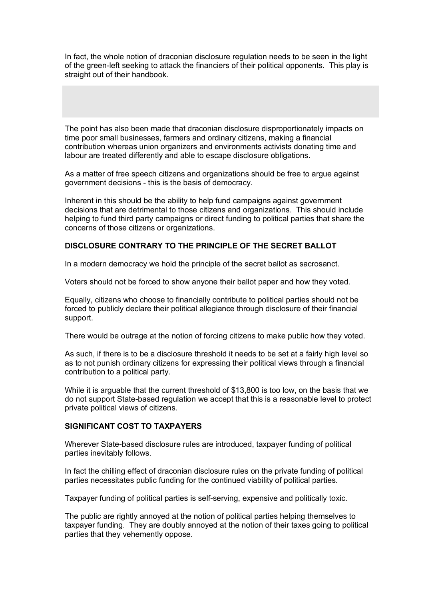In fact, the whole notion of draconian disclosure regulation needs to be seen in the light of the green-left seeking to attack the financiers of their political opponents. This play is straight out of their handbook.

The point has also been made that draconian disclosure disproportionately impacts on time poor small businesses, farmers and ordinary citizens, making a financial contribution whereas union organizers and environments activists donating time and labour are treated differently and able to escape disclosure obligations.

As a matter of free speech citizens and organizations should be free to argue against government decisions - this is the basis of democracy.

Inherent in this should be the ability to help fund campaigns against government decisions that are detrimental to those citizens and organizations. This should include helping to fund third party campaigns or direct funding to political parties that share the concerns of those citizens or organizations.

## **DISCLOSURE CONTRARY TO THE PRINCIPLE OF THE SECRET BALLOT**

In a modern democracy we hold the principle of the secret ballot as sacrosanct.

Voters should not be forced to show anyone their ballot paper and how they voted.

Equally, citizens who choose to financially contribute to political parties should not be forced to publicly declare their political allegiance through disclosure of their financial support.

There would be outrage at the notion of forcing citizens to make public how they voted.

As such, if there is to be a disclosure threshold it needs to be set at a fairly high level so as to not punish ordinary citizens for expressing their political views through a financial contribution to a political party.

While it is arguable that the current threshold of \$13,800 is too low, on the basis that we do not support State-based regulation we accept that this is a reasonable level to protect private political views of citizens.

#### **SIGNIFICANT COST TO TAXPAYERS**

Wherever State-based disclosure rules are introduced, taxpayer funding of political parties inevitably follows.

In fact the chilling effect of draconian disclosure rules on the private funding of political parties necessitates public funding for the continued viability of political parties.

Taxpayer funding of political parties is self-serving, expensive and politically toxic.

The public are rightly annoyed at the notion of political parties helping themselves to taxpayer funding. They are doubly annoyed at the notion of their taxes going to political parties that they vehemently oppose.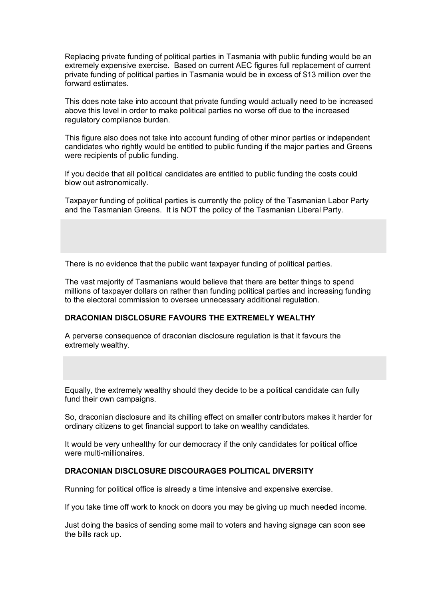Replacing private funding of political parties in Tasmania with public funding would be an extremely expensive exercise. Based on current AEC figures full replacement of current private funding of political parties in Tasmania would be in excess of \$13 million over the forward estimates.

This does note take into account that private funding would actually need to be increased above this level in order to make political parties no worse off due to the increased regulatory compliance burden.

This figure also does not take into account funding of other minor parties or independent candidates who rightly would be entitled to public funding if the major parties and Greens were recipients of public funding.

If you decide that all political candidates are entitled to public funding the costs could blow out astronomically.

Taxpayer funding of political parties is currently the policy of the Tasmanian Labor Party and the Tasmanian Greens. It is NOT the policy of the Tasmanian Liberal Party.

There is no evidence that the public want taxpayer funding of political parties.

The vast majority of Tasmanians would believe that there are better things to spend millions of taxpayer dollars on rather than funding political parties and increasing funding to the electoral commission to oversee unnecessary additional regulation.

#### **DRACONIAN DISCLOSURE FAVOURS THE EXTREMELY WEALTHY**

A perverse consequence of draconian disclosure regulation is that it favours the extremely wealthy.

Equally, the extremely wealthy should they decide to be a political candidate can fully fund their own campaigns.

So, draconian disclosure and its chilling effect on smaller contributors makes it harder for ordinary citizens to get financial support to take on wealthy candidates.

It would be very unhealthy for our democracy if the only candidates for political office were multi-millionaires.

#### **DRACONIAN DISCLOSURE DISCOURAGES POLITICAL DIVERSITY**

Running for political office is already a time intensive and expensive exercise.

If you take time off work to knock on doors you may be giving up much needed income.

Just doing the basics of sending some mail to voters and having signage can soon see the bills rack up.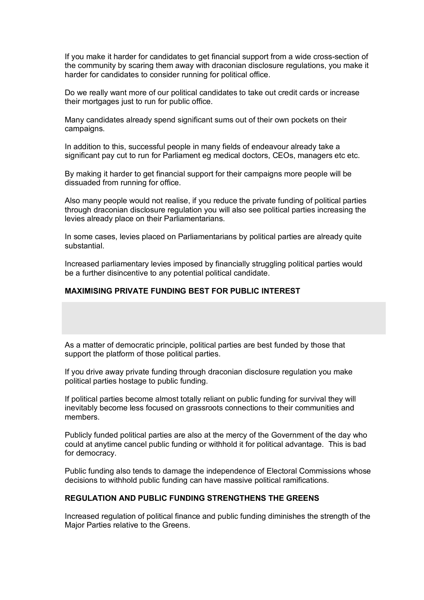If you make it harder for candidates to get financial support from a wide cross-section of the community by scaring them away with draconian disclosure regulations, you make it harder for candidates to consider running for political office.

Do we really want more of our political candidates to take out credit cards or increase their mortgages just to run for public office.

Many candidates already spend significant sums out of their own pockets on their campaigns.

In addition to this, successful people in many fields of endeavour already take a significant pay cut to run for Parliament eg medical doctors, CEOs, managers etc etc.

By making it harder to get financial support for their campaigns more people will be dissuaded from running for office.

Also many people would not realise, if you reduce the private funding of political parties through draconian disclosure regulation you will also see political parties increasing the levies already place on their Parliamentarians.

In some cases, levies placed on Parliamentarians by political parties are already quite substantial.

Increased parliamentary levies imposed by financially struggling political parties would be a further disincentive to any potential political candidate.

#### **MAXIMISING PRIVATE FUNDING BEST FOR PUBLIC INTEREST**

As a matter of democratic principle, political parties are best funded by those that support the platform of those political parties.

If you drive away private funding through draconian disclosure regulation you make political parties hostage to public funding.

If political parties become almost totally reliant on public funding for survival they will inevitably become less focused on grassroots connections to their communities and members.

Publicly funded political parties are also at the mercy of the Government of the day who could at anytime cancel public funding or withhold it for political advantage. This is bad for democracy.

Public funding also tends to damage the independence of Electoral Commissions whose decisions to withhold public funding can have massive political ramifications.

#### **REGULATION AND PUBLIC FUNDING STRENGTHENS THE GREENS**

Increased regulation of political finance and public funding diminishes the strength of the Major Parties relative to the Greens.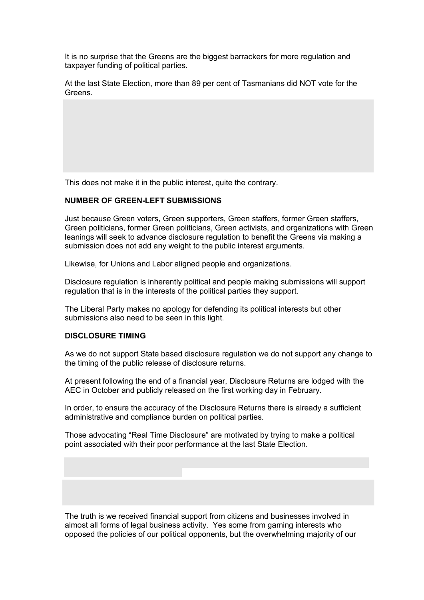It is no surprise that the Greens are the biggest barrackers for more regulation and taxpayer funding of political parties.

At the last State Election, more than 89 per cent of Tasmanians did NOT vote for the Greens.

This does not make it in the public interest, quite the contrary.

### **NUMBER OF GREEN-LEFT SUBMISSIONS**

Just because Green voters, Green supporters, Green staffers, former Green staffers, Green politicians, former Green politicians, Green activists, and organizations with Green leanings will seek to advance disclosure regulation to benefit the Greens via making a submission does not add any weight to the public interest arguments.

Likewise, for Unions and Labor aligned people and organizations.

Disclosure regulation is inherently political and people making submissions will support regulation that is in the interests of the political parties they support.

The Liberal Party makes no apology for defending its political interests but other submissions also need to be seen in this light.

#### **DISCLOSURE TIMING**

As we do not support State based disclosure regulation we do not support any change to the timing of the public release of disclosure returns.

At present following the end of a financial year, Disclosure Returns are lodged with the AEC in October and publicly released on the first working day in February.

In order, to ensure the accuracy of the Disclosure Returns there is already a sufficient administrative and compliance burden on political parties.

Those advocating "Real Time Disclosure" are motivated by trying to make a political point associated with their poor performance at the last State Election.

The truth is we received financial support from citizens and businesses involved in almost all forms of legal business activity. Yes some from gaming interests who opposed the policies of our political opponents, but the overwhelming majority of our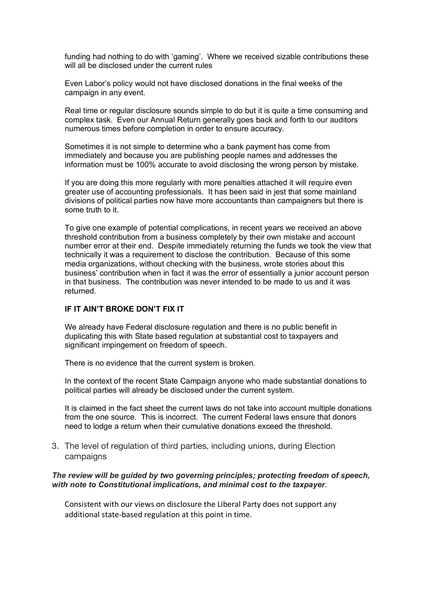funding had nothing to do with 'gaming'. Where we received sizable contributions these will all be disclosed under the current rules

Even Labor's policy would not have disclosed donations in the final weeks of the campaign in any event.

Real time or regular disclosure sounds simple to do but it is quite a time consuming and complex task. Even our Annual Return generally goes back and forth to our auditors numerous times before completion in order to ensure accuracy.

Sometimes it is not simple to determine who a bank payment has come from immediately and because you are publishing people names and addresses the information must be 100% accurate to avoid disclosing the wrong person by mistake.

If you are doing this more regularly with more penalties attached it will require even greater use of accounting professionals. It has been said in jest that some mainland divisions of political parties now have more accountants than campaigners but there is some truth to it.

To give one example of potential complications, in recent years we received an above threshold contribution from a business completely by their own mistake and account number error at their end. Despite immediately returning the funds we took the view that technically it was a requirement to disclose the contribution. Because of this some media organizations, without checking with the business, wrote stories about this business' contribution when in fact it was the error of essentially a junior account person in that business. The contribution was never intended to be made to us and it was returned.

## **IF IT AIN'T BROKE DON'T FIX IT**

We already have Federal disclosure regulation and there is no public benefit in duplicating this with State based regulation at substantial cost to taxpayers and significant impingement on freedom of speech.

There is no evidence that the current system is broken.

In the context of the recent State Campaign anyone who made substantial donations to political parties will already be disclosed under the current system.

It is claimed in the fact sheet the current laws do not take into account multiple donations from the one source. This is incorrect. The current Federal laws ensure that donors need to lodge a return when their cumulative donations exceed the threshold.

3. The level of regulation of third parties, including unions, during Election campaigns

#### *The review will be guided by two governing principles; protecting freedom of speech, with note to Constitutional implications, and minimal cost to the taxpayer*.

Consistent with our views on disclosure the Liberal Party does not support any additional state-based regulation at this point in time.